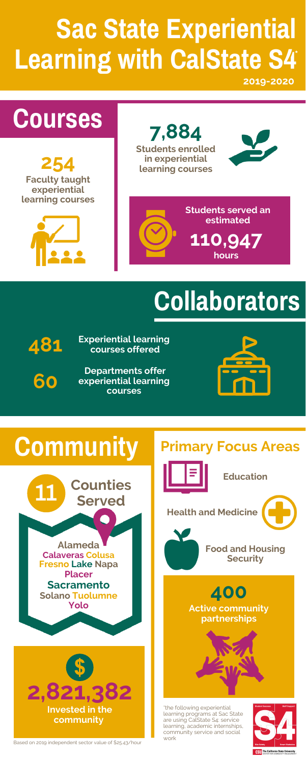## **Courses**

# **Collaborators**

#### **Community**

**254 Faculty taught experiential learning courses**



**7,884 Students enrolled in experiential learning courses**





**Students served an estimated**

**60**

**481**

**Experiential learning courses offered**

**Departments offer experiential learning courses**





**400 Active community partnerships**

# **Sac State Experiential Learning with CalState S4 \***

#### **Education**

**Health and Medicine**

**110,947 hours**



**Food and Housing Security**

#### **Primary Focus Areas**

\*the following experiential learning programs at Sac State are using CalState S4: service learning, academic internships, community service and social work



**CSU** The California State University



Based on 2019 independent sector value of \$25.43/hour



**2019-2020**